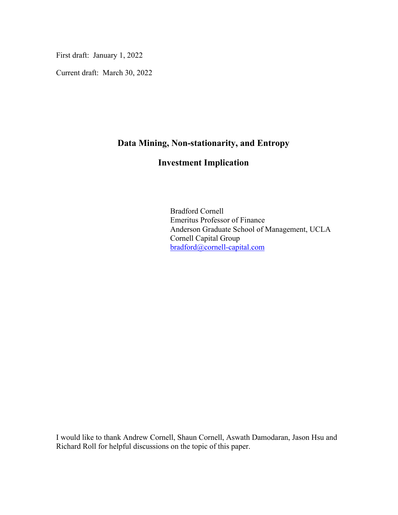First draft: January 1, 2022

Current draft: March 30, 2022

### **Data Mining, Non-stationarity, and Entropy**

## **Investment Implication**

Bradford Cornell Emeritus Professor of Finance Anderson Graduate School of Management, UCLA Cornell Capital Group [bradford@cornell-capital.com](mailto:bradford@cornell-capital.com)

I would like to thank Andrew Cornell, Shaun Cornell, Aswath Damodaran, Jason Hsu and Richard Roll for helpful discussions on the topic of this paper.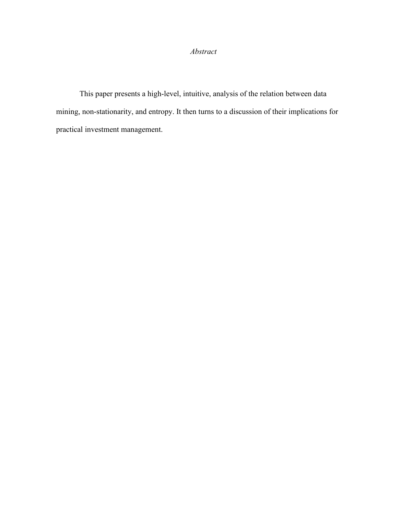#### *Abstract*

This paper presents a high-level, intuitive, analysis of the relation between data mining, non-stationarity, and entropy. It then turns to a discussion of their implications for practical investment management.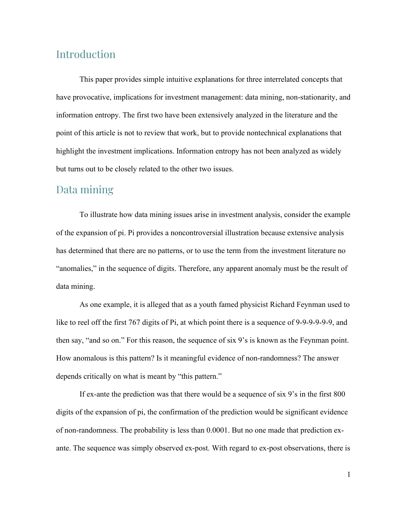# Introduction

This paper provides simple intuitive explanations for three interrelated concepts that have provocative, implications for investment management: data mining, non-stationarity, and information entropy. The first two have been extensively analyzed in the literature and the point of this article is not to review that work, but to provide nontechnical explanations that highlight the investment implications. Information entropy has not been analyzed as widely but turns out to be closely related to the other two issues.

## Data mining

To illustrate how data mining issues arise in investment analysis, consider the example of the expansion of pi. Pi provides a noncontroversial illustration because extensive analysis has determined that there are no patterns, or to use the term from the investment literature no "anomalies," in the sequence of digits. Therefore, any apparent anomaly must be the result of data mining.

As one example, it is alleged that as a youth famed physicist Richard Feynman used to like to reel off the first 767 digits of Pi, at which point there is a sequence of 9-9-9-9-9-9, and then say, "and so on." For this reason, the sequence of six 9's is known as the Feynman point. How anomalous is this pattern? Is it meaningful evidence of non-randomness? The answer depends critically on what is meant by "this pattern."

If ex-ante the prediction was that there would be a sequence of six 9's in the first 800 digits of the expansion of pi, the confirmation of the prediction would be significant evidence of non-randomness. The probability is less than 0.0001. But no one made that prediction exante. The sequence was simply observed ex-post. With regard to ex-post observations, there is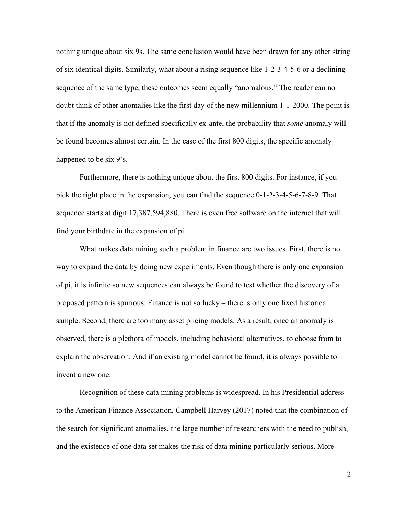nothing unique about six 9s. The same conclusion would have been drawn for any other string of six identical digits. Similarly, what about a rising sequence like 1-2-3-4-5-6 or a declining sequence of the same type, these outcomes seem equally "anomalous." The reader can no doubt think of other anomalies like the first day of the new millennium 1-1-2000. The point is that if the anomaly is not defined specifically ex-ante, the probability that *some* anomaly will be found becomes almost certain. In the case of the first 800 digits, the specific anomaly happened to be six 9's.

Furthermore, there is nothing unique about the first 800 digits. For instance, if you pick the right place in the expansion, you can find the sequence 0-1-2-3-4-5-6-7-8-9. That sequence starts at digit 17,387,594,880. There is even free software on the internet that will find your birthdate in the expansion of pi.

What makes data mining such a problem in finance are two issues. First, there is no way to expand the data by doing new experiments. Even though there is only one expansion of pi, it is infinite so new sequences can always be found to test whether the discovery of a proposed pattern is spurious. Finance is not so lucky – there is only one fixed historical sample. Second, there are too many asset pricing models. As a result, once an anomaly is observed, there is a plethora of models, including behavioral alternatives, to choose from to explain the observation. And if an existing model cannot be found, it is always possible to invent a new one.

Recognition of these data mining problems is widespread. In his Presidential address to the American Finance Association, Campbell Harvey (2017) noted that the combination of the search for significant anomalies, the large number of researchers with the need to publish, and the existence of one data set makes the risk of data mining particularly serious. More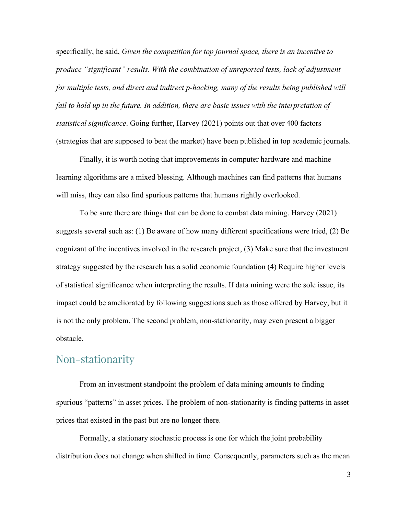specifically, he said, *Given the competition for top journal space, there is an incentive to produce "significant" results. With the combination of unreported tests, lack of adjustment for multiple tests, and direct and indirect p-hacking, many of the results being published will fail to hold up in the future. In addition, there are basic issues with the interpretation of statistical significance*. Going further, Harvey (2021) points out that over 400 factors (strategies that are supposed to beat the market) have been published in top academic journals.

Finally, it is worth noting that improvements in computer hardware and machine learning algorithms are a mixed blessing. Although machines can find patterns that humans will miss, they can also find spurious patterns that humans rightly overlooked.

To be sure there are things that can be done to combat data mining. Harvey (2021) suggests several such as: (1) Be aware of how many different specifications were tried, (2) Be cognizant of the incentives involved in the research project, (3) Make sure that the investment strategy suggested by the research has a solid economic foundation (4) Require higher levels of statistical significance when interpreting the results. If data mining were the sole issue, its impact could be ameliorated by following suggestions such as those offered by Harvey, but it is not the only problem. The second problem, non-stationarity, may even present a bigger obstacle.

### Non-stationarity

From an investment standpoint the problem of data mining amounts to finding spurious "patterns" in asset prices. The problem of non-stationarity is finding patterns in asset prices that existed in the past but are no longer there.

Formally, a stationary stochastic process is one for which the joint probability distribution does not change when shifted in time. Consequently, parameters such as the mean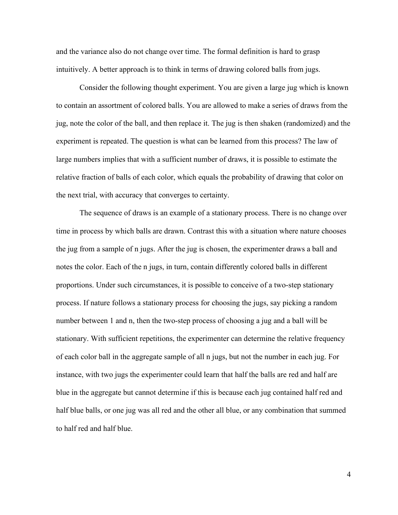and the variance also do not change over time. The formal definition is hard to grasp intuitively. A better approach is to think in terms of drawing colored balls from jugs.

Consider the following thought experiment. You are given a large jug which is known to contain an assortment of colored balls. You are allowed to make a series of draws from the jug, note the color of the ball, and then replace it. The jug is then shaken (randomized) and the experiment is repeated. The question is what can be learned from this process? The law of large numbers implies that with a sufficient number of draws, it is possible to estimate the relative fraction of balls of each color, which equals the probability of drawing that color on the next trial, with accuracy that converges to certainty.

The sequence of draws is an example of a stationary process. There is no change over time in process by which balls are drawn. Contrast this with a situation where nature chooses the jug from a sample of n jugs. After the jug is chosen, the experimenter draws a ball and notes the color. Each of the n jugs, in turn, contain differently colored balls in different proportions. Under such circumstances, it is possible to conceive of a two-step stationary process. If nature follows a stationary process for choosing the jugs, say picking a random number between 1 and n, then the two-step process of choosing a jug and a ball will be stationary. With sufficient repetitions, the experimenter can determine the relative frequency of each color ball in the aggregate sample of all n jugs, but not the number in each jug. For instance, with two jugs the experimenter could learn that half the balls are red and half are blue in the aggregate but cannot determine if this is because each jug contained half red and half blue balls, or one jug was all red and the other all blue, or any combination that summed to half red and half blue.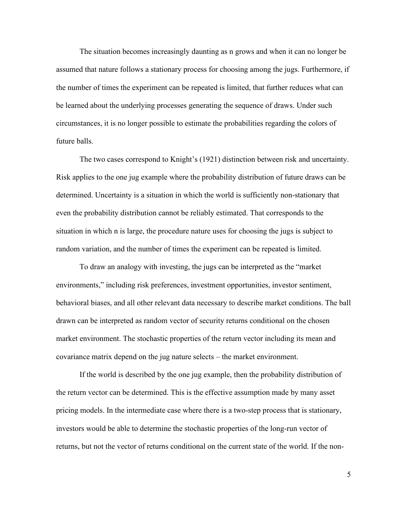The situation becomes increasingly daunting as n grows and when it can no longer be assumed that nature follows a stationary process for choosing among the jugs. Furthermore, if the number of times the experiment can be repeated is limited, that further reduces what can be learned about the underlying processes generating the sequence of draws. Under such circumstances, it is no longer possible to estimate the probabilities regarding the colors of future balls.

The two cases correspond to Knight's (1921) distinction between risk and uncertainty. Risk applies to the one jug example where the probability distribution of future draws can be determined. Uncertainty is a situation in which the world is sufficiently non-stationary that even the probability distribution cannot be reliably estimated. That corresponds to the situation in which n is large, the procedure nature uses for choosing the jugs is subject to random variation, and the number of times the experiment can be repeated is limited.

To draw an analogy with investing, the jugs can be interpreted as the "market environments," including risk preferences, investment opportunities, investor sentiment, behavioral biases, and all other relevant data necessary to describe market conditions. The ball drawn can be interpreted as random vector of security returns conditional on the chosen market environment. The stochastic properties of the return vector including its mean and covariance matrix depend on the jug nature selects – the market environment.

If the world is described by the one jug example, then the probability distribution of the return vector can be determined. This is the effective assumption made by many asset pricing models. In the intermediate case where there is a two-step process that is stationary, investors would be able to determine the stochastic properties of the long-run vector of returns, but not the vector of returns conditional on the current state of the world. If the non-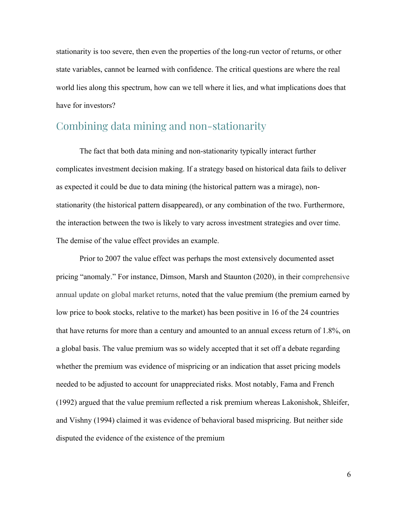stationarity is too severe, then even the properties of the long-run vector of returns, or other state variables, cannot be learned with confidence. The critical questions are where the real world lies along this spectrum, how can we tell where it lies, and what implications does that have for investors?

# Combining data mining and non-stationarity

The fact that both data mining and non-stationarity typically interact further complicates investment decision making. If a strategy based on historical data fails to deliver as expected it could be due to data mining (the historical pattern was a mirage), nonstationarity (the historical pattern disappeared), or any combination of the two. Furthermore, the interaction between the two is likely to vary across investment strategies and over time. The demise of the value effect provides an example.

Prior to 2007 the value effect was perhaps the most extensively documented asset pricing "anomaly." For instance, Dimson, Marsh and Staunton (2020), in their comprehensive annual update on global market returns, noted that the value premium (the premium earned by low price to book stocks, relative to the market) has been positive in 16 of the 24 countries that have returns for more than a century and amounted to an annual excess return of 1.8%, on a global basis. The value premium was so widely accepted that it set off a debate regarding whether the premium was evidence of mispricing or an indication that asset pricing models needed to be adjusted to account for unappreciated risks. Most notably, Fama and French (1992) argued that the value premium reflected a risk premium whereas Lakonishok, Shleifer, and Vishny (1994) claimed it was evidence of behavioral based mispricing. But neither side disputed the evidence of the existence of the premium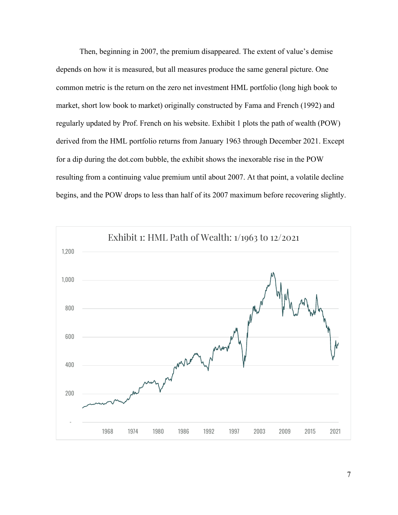Then, beginning in 2007, the premium disappeared. The extent of value's demise depends on how it is measured, but all measures produce the same general picture. One common metric is the return on the zero net investment HML portfolio (long high book to market, short low book to market) originally constructed by Fama and French (1992) and regularly updated by Prof. French on his website. Exhibit 1 plots the path of wealth (POW) derived from the HML portfolio returns from January 1963 through December 2021. Except for a dip during the dot.com bubble, the exhibit shows the inexorable rise in the POW resulting from a continuing value premium until about 2007. At that point, a volatile decline begins, and the POW drops to less than half of its 2007 maximum before recovering slightly.

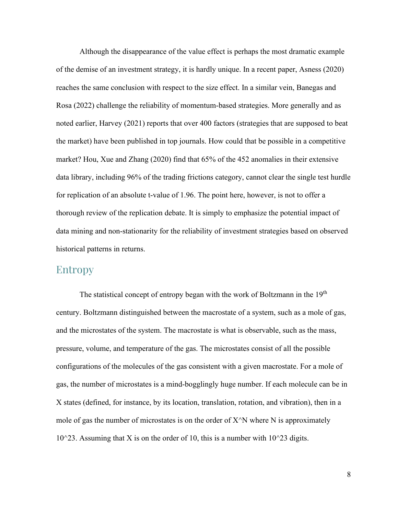Although the disappearance of the value effect is perhaps the most dramatic example of the demise of an investment strategy, it is hardly unique. In a recent paper, Asness (2020) reaches the same conclusion with respect to the size effect. In a similar vein, Banegas and Rosa (2022) challenge the reliability of momentum-based strategies. More generally and as noted earlier, Harvey (2021) reports that over 400 factors (strategies that are supposed to beat the market) have been published in top journals. How could that be possible in a competitive market? Hou, Xue and Zhang (2020) find that 65% of the 452 anomalies in their extensive data library, including 96% of the trading frictions category, cannot clear the single test hurdle for replication of an absolute t-value of 1.96. The point here, however, is not to offer a thorough review of the replication debate. It is simply to emphasize the potential impact of data mining and non-stationarity for the reliability of investment strategies based on observed historical patterns in returns.

#### Entropy

The statistical concept of entropy began with the work of Boltzmann in the 19<sup>th</sup> century. Boltzmann distinguished between the macrostate of a system, such as a mole of gas, and the microstates of the system. The macrostate is what is observable, such as the mass, pressure, volume, and temperature of the gas. The microstates consist of all the possible configurations of the molecules of the gas consistent with a given macrostate. For a mole of gas, the number of microstates is a mind-bogglingly huge number. If each molecule can be in X states (defined, for instance, by its location, translation, rotation, and vibration), then in a mole of gas the number of microstates is on the order of  $X^N$ N where N is approximately 10^23. Assuming that X is on the order of 10, this is a number with 10^23 digits.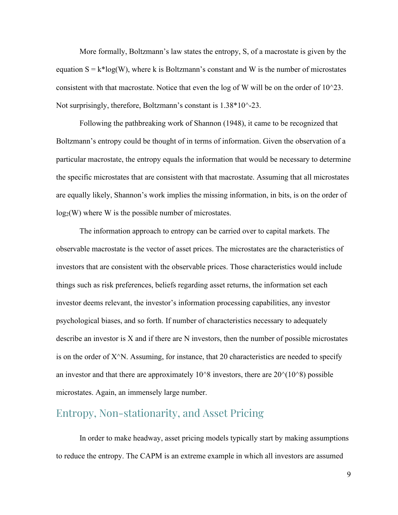More formally, Boltzmann's law states the entropy, S, of a macrostate is given by the equation  $S = k^*log(W)$ , where k is Boltzmann's constant and W is the number of microstates consistent with that macrostate. Notice that even the log of W will be on the order of 10^23. Not surprisingly, therefore, Boltzmann's constant is  $1.38*10^{\degree}$ -23.

Following the pathbreaking work of Shannon (1948), it came to be recognized that Boltzmann's entropy could be thought of in terms of information. Given the observation of a particular macrostate, the entropy equals the information that would be necessary to determine the specific microstates that are consistent with that macrostate. Assuming that all microstates are equally likely, Shannon's work implies the missing information, in bits, is on the order of  $log_2(W)$  where W is the possible number of microstates.

The information approach to entropy can be carried over to capital markets. The observable macrostate is the vector of asset prices. The microstates are the characteristics of investors that are consistent with the observable prices. Those characteristics would include things such as risk preferences, beliefs regarding asset returns, the information set each investor deems relevant, the investor's information processing capabilities, any investor psychological biases, and so forth. If number of characteristics necessary to adequately describe an investor is X and if there are N investors, then the number of possible microstates is on the order of  $X^N$ . Assuming, for instance, that 20 characteristics are needed to specify an investor and that there are approximately  $10^8$  investors, there are  $20^{\circ}(10^88)$  possible microstates. Again, an immensely large number.

# Entropy, Non-stationarity, and Asset Pricing

In order to make headway, asset pricing models typically start by making assumptions to reduce the entropy. The CAPM is an extreme example in which all investors are assumed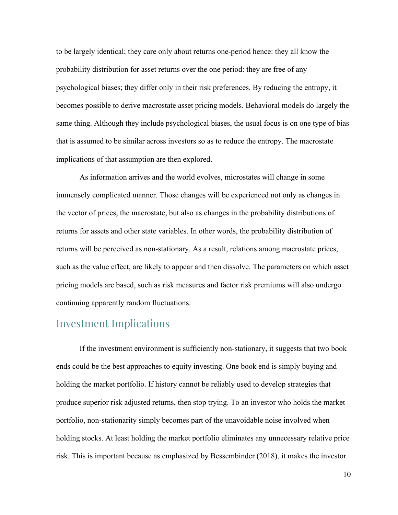to be largely identical; they care only about returns one-period hence: they all know the probability distribution for asset returns over the one period: they are free of any psychological biases; they differ only in their risk preferences. By reducing the entropy, it becomes possible to derive macrostate asset pricing models. Behavioral models do largely the same thing. Although they include psychological biases, the usual focus is on one type of bias that is assumed to be similar across investors so as to reduce the entropy. The macrostate implications of that assumption are then explored.

As information arrives and the world evolves, microstates will change in some immensely complicated manner. Those changes will be experienced not only as changes in the vector of prices, the macrostate, but also as changes in the probability distributions of returns for assets and other state variables. In other words, the probability distribution of returns will be perceived as non-stationary. As a result, relations among macrostate prices, such as the value effect, are likely to appear and then dissolve. The parameters on which asset pricing models are based, such as risk measures and factor risk premiums will also undergo continuing apparently random fluctuations.

## Investment Implications

If the investment environment is sufficiently non-stationary, it suggests that two book ends could be the best approaches to equity investing. One book end is simply buying and holding the market portfolio. If history cannot be reliably used to develop strategies that produce superior risk adjusted returns, then stop trying. To an investor who holds the market portfolio, non-stationarity simply becomes part of the unavoidable noise involved when holding stocks. At least holding the market portfolio eliminates any unnecessary relative price risk. This is important because as emphasized by Bessembinder (2018), it makes the investor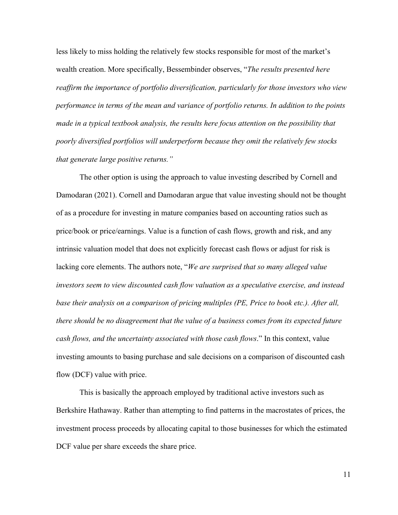less likely to miss holding the relatively few stocks responsible for most of the market's wealth creation. More specifically, Bessembinder observes, "*The results presented here reaffirm the importance of portfolio diversification, particularly for those investors who view performance in terms of the mean and variance of portfolio returns. In addition to the points made in a typical textbook analysis, the results here focus attention on the possibility that poorly diversified portfolios will underperform because they omit the relatively few stocks that generate large positive returns."*

The other option is using the approach to value investing described by Cornell and Damodaran (2021). Cornell and Damodaran argue that value investing should not be thought of as a procedure for investing in mature companies based on accounting ratios such as price/book or price/earnings. Value is a function of cash flows, growth and risk, and any intrinsic valuation model that does not explicitly forecast cash flows or adjust for risk is lacking core elements. The authors note, "*We are surprised that so many alleged value investors seem to view discounted cash flow valuation as a speculative exercise, and instead base their analysis on a comparison of pricing multiples (PE, Price to book etc.). After all, there should be no disagreement that the value of a business comes from its expected future cash flows, and the uncertainty associated with those cash flows*." In this context, value investing amounts to basing purchase and sale decisions on a comparison of discounted cash flow (DCF) value with price.

This is basically the approach employed by traditional active investors such as Berkshire Hathaway. Rather than attempting to find patterns in the macrostates of prices, the investment process proceeds by allocating capital to those businesses for which the estimated DCF value per share exceeds the share price.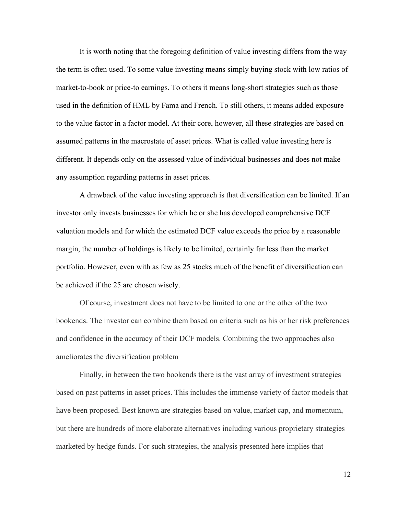It is worth noting that the foregoing definition of value investing differs from the way the term is often used. To some value investing means simply buying stock with low ratios of market-to-book or price-to earnings. To others it means long-short strategies such as those used in the definition of HML by Fama and French. To still others, it means added exposure to the value factor in a factor model. At their core, however, all these strategies are based on assumed patterns in the macrostate of asset prices. What is called value investing here is different. It depends only on the assessed value of individual businesses and does not make any assumption regarding patterns in asset prices.

A drawback of the value investing approach is that diversification can be limited. If an investor only invests businesses for which he or she has developed comprehensive DCF valuation models and for which the estimated DCF value exceeds the price by a reasonable margin, the number of holdings is likely to be limited, certainly far less than the market portfolio. However, even with as few as 25 stocks much of the benefit of diversification can be achieved if the 25 are chosen wisely.

Of course, investment does not have to be limited to one or the other of the two bookends. The investor can combine them based on criteria such as his or her risk preferences and confidence in the accuracy of their DCF models. Combining the two approaches also ameliorates the diversification problem

Finally, in between the two bookends there is the vast array of investment strategies based on past patterns in asset prices. This includes the immense variety of factor models that have been proposed. Best known are strategies based on value, market cap, and momentum, but there are hundreds of more elaborate alternatives including various proprietary strategies marketed by hedge funds. For such strategies, the analysis presented here implies that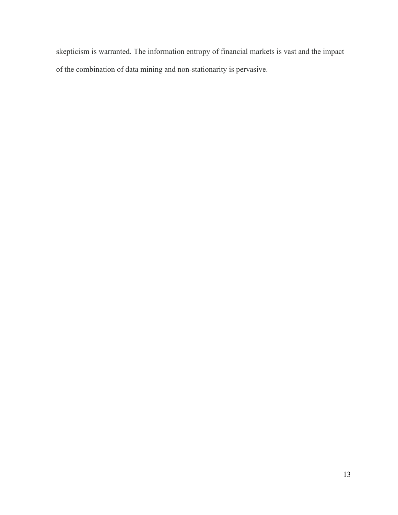skepticism is warranted. The information entropy of financial markets is vast and the impact of the combination of data mining and non-stationarity is pervasive.